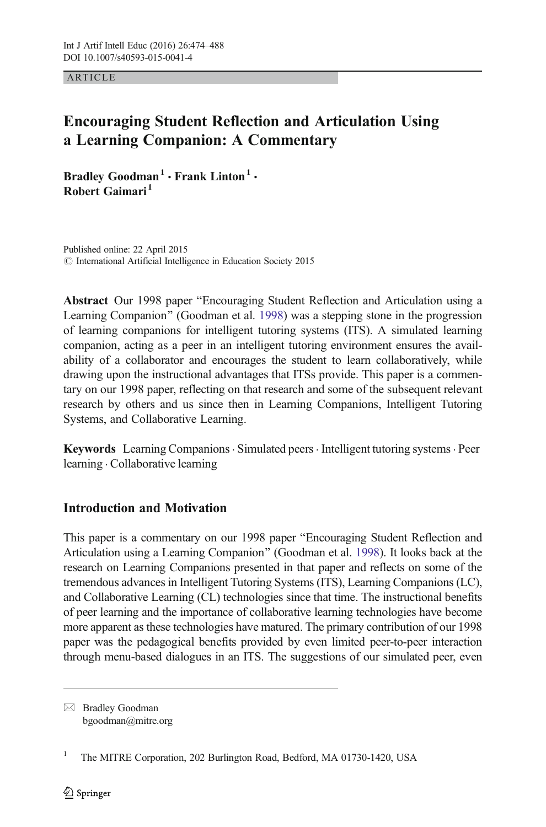ARTICLE

# Encouraging Student Reflection and Articulation Using a Learning Companion: A Commentary

Bradley Goodman<sup>1</sup>  $\cdot$  Frank Linton<sup>1</sup>  $\cdot$ Robert Gaimari<sup>1</sup>

Published online: 22 April 2015  $\odot$  International Artificial Intelligence in Education Society 2015

Abstract Our 1998 paper "Encouraging Student Reflection and Articulation using a Learning Companion" (Goodman et al. [1998](#page-13-0)) was a stepping stone in the progression of learning companions for intelligent tutoring systems (ITS). A simulated learning companion, acting as a peer in an intelligent tutoring environment ensures the availability of a collaborator and encourages the student to learn collaboratively, while drawing upon the instructional advantages that ITSs provide. This paper is a commentary on our 1998 paper, reflecting on that research and some of the subsequent relevant research by others and us since then in Learning Companions, Intelligent Tutoring Systems, and Collaborative Learning.

Keywords Learning Companions. Simulated peers. Intelligent tutoring systems. Peer learning . Collaborative learning

## Introduction and Motivation

This paper is a commentary on our 1998 paper "Encouraging Student Reflection and Articulation using a Learning Companion" (Goodman et al. [1998\)](#page-13-0). It looks back at the research on Learning Companions presented in that paper and reflects on some of the tremendous advances in Intelligent Tutoring Systems (ITS), Learning Companions (LC), and Collaborative Learning (CL) technologies since that time. The instructional benefits of peer learning and the importance of collaborative learning technologies have become more apparent as these technologies have matured. The primary contribution of our 1998 paper was the pedagogical benefits provided by even limited peer-to-peer interaction through menu-based dialogues in an ITS. The suggestions of our simulated peer, even

 $\boxtimes$  Bradley Goodman bgoodman@mitre.org

<sup>&</sup>lt;sup>1</sup> The MITRE Corporation, 202 Burlington Road, Bedford, MA 01730-1420, USA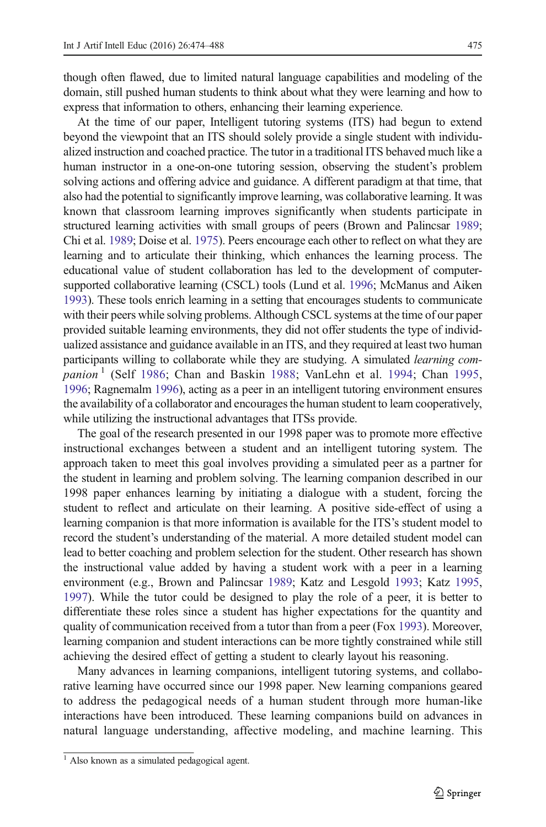though often flawed, due to limited natural language capabilities and modeling of the domain, still pushed human students to think about what they were learning and how to express that information to others, enhancing their learning experience.

At the time of our paper, Intelligent tutoring systems (ITS) had begun to extend beyond the viewpoint that an ITS should solely provide a single student with individualized instruction and coached practice. The tutor in a traditional ITS behaved much like a human instructor in a one-on-one tutoring session, observing the student's problem solving actions and offering advice and guidance. A different paradigm at that time, that also had the potential to significantly improve learning, was collaborative learning. It was known that classroom learning improves significantly when students participate in structured learning activities with small groups of peers (Brown and Palincsar [1989;](#page-13-0) Chi et al. [1989;](#page-13-0) Doise et al. [1975\)](#page-13-0). Peers encourage each other to reflect on what they are learning and to articulate their thinking, which enhances the learning process. The educational value of student collaboration has led to the development of computersupported collaborative learning (CSCL) tools (Lund et al. [1996](#page-14-0); McManus and Aiken [1993](#page-14-0)). These tools enrich learning in a setting that encourages students to communicate with their peers while solving problems. Although CSCL systems at the time of our paper provided suitable learning environments, they did not offer students the type of individualized assistance and guidance available in an ITS, and they required at least two human participants willing to collaborate while they are studying. A simulated learning com-panion<sup>1</sup> (Self [1986](#page-14-0); Chan and Baskin [1988](#page-13-0); VanLehn et al. [1994;](#page-14-0) Chan [1995,](#page-13-0) [1996](#page-13-0); Ragnemalm [1996\)](#page-14-0), acting as a peer in an intelligent tutoring environment ensures the availability of a collaborator and encourages the human student to learn cooperatively, while utilizing the instructional advantages that ITSs provide.

The goal of the research presented in our 1998 paper was to promote more effective instructional exchanges between a student and an intelligent tutoring system. The approach taken to meet this goal involves providing a simulated peer as a partner for the student in learning and problem solving. The learning companion described in our 1998 paper enhances learning by initiating a dialogue with a student, forcing the student to reflect and articulate on their learning. A positive side-effect of using a learning companion is that more information is available for the ITS's student model to record the student's understanding of the material. A more detailed student model can lead to better coaching and problem selection for the student. Other research has shown the instructional value added by having a student work with a peer in a learning environment (e.g., Brown and Palincsar [1989](#page-13-0); Katz and Lesgold [1993](#page-14-0); Katz [1995,](#page-13-0) [1997\)](#page-13-0). While the tutor could be designed to play the role of a peer, it is better to differentiate these roles since a student has higher expectations for the quantity and quality of communication received from a tutor than from a peer (Fox [1993](#page-13-0)). Moreover, learning companion and student interactions can be more tightly constrained while still achieving the desired effect of getting a student to clearly layout his reasoning.

Many advances in learning companions, intelligent tutoring systems, and collaborative learning have occurred since our 1998 paper. New learning companions geared to address the pedagogical needs of a human student through more human-like interactions have been introduced. These learning companions build on advances in natural language understanding, affective modeling, and machine learning. This

<sup>&</sup>lt;sup>1</sup> Also known as a simulated pedagogical agent.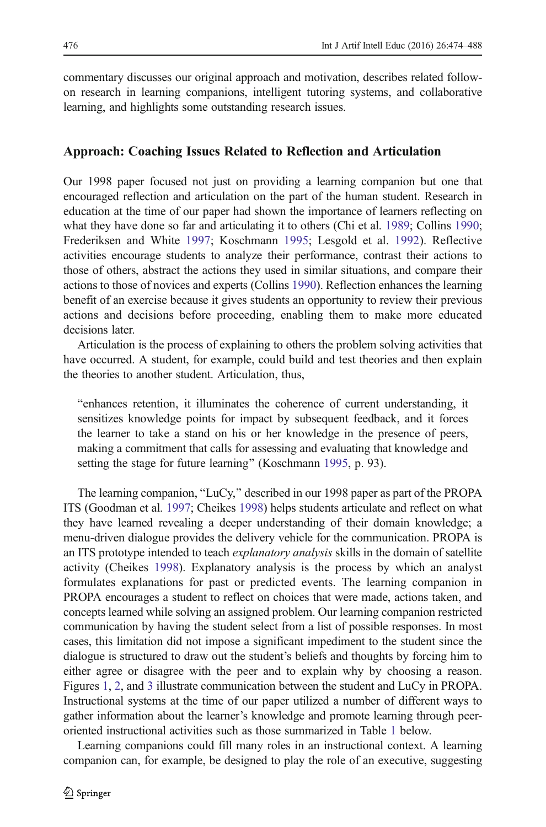commentary discusses our original approach and motivation, describes related followon research in learning companions, intelligent tutoring systems, and collaborative learning, and highlights some outstanding research issues.

#### Approach: Coaching Issues Related to Reflection and Articulation

Our 1998 paper focused not just on providing a learning companion but one that encouraged reflection and articulation on the part of the human student. Research in education at the time of our paper had shown the importance of learners reflecting on what they have done so far and articulating it to others (Chi et al. [1989;](#page-13-0) Collins [1990;](#page-13-0) Frederiksen and White [1997](#page-13-0); Koschmann [1995](#page-14-0); Lesgold et al. [1992\)](#page-14-0). Reflective activities encourage students to analyze their performance, contrast their actions to those of others, abstract the actions they used in similar situations, and compare their actions to those of novices and experts (Collins [1990\)](#page-13-0). Reflection enhances the learning benefit of an exercise because it gives students an opportunity to review their previous actions and decisions before proceeding, enabling them to make more educated decisions later.

Articulation is the process of explaining to others the problem solving activities that have occurred. A student, for example, could build and test theories and then explain the theories to another student. Articulation, thus,

Benhances retention, it illuminates the coherence of current understanding, it sensitizes knowledge points for impact by subsequent feedback, and it forces the learner to take a stand on his or her knowledge in the presence of peers, making a commitment that calls for assessing and evaluating that knowledge and setting the stage for future learning" (Koschmann [1995](#page-14-0), p. 93).

The learning companion, "LuCy," described in our 1998 paper as part of the PROPA ITS (Goodman et al. [1997](#page-13-0); Cheikes [1998](#page-13-0)) helps students articulate and reflect on what they have learned revealing a deeper understanding of their domain knowledge; a menu-driven dialogue provides the delivery vehicle for the communication. PROPA is an ITS prototype intended to teach explanatory analysis skills in the domain of satellite activity (Cheikes [1998\)](#page-13-0). Explanatory analysis is the process by which an analyst formulates explanations for past or predicted events. The learning companion in PROPA encourages a student to reflect on choices that were made, actions taken, and concepts learned while solving an assigned problem. Our learning companion restricted communication by having the student select from a list of possible responses. In most cases, this limitation did not impose a significant impediment to the student since the dialogue is structured to draw out the student's beliefs and thoughts by forcing him to either agree or disagree with the peer and to explain why by choosing a reason. Figures [1](#page-3-0), [2](#page-3-0), and [3](#page-4-0) illustrate communication between the student and LuCy in PROPA. Instructional systems at the time of our paper utilized a number of different ways to gather information about the learner's knowledge and promote learning through peeroriented instructional activities such as those summarized in Table [1](#page-4-0) below.

Learning companions could fill many roles in an instructional context. A learning companion can, for example, be designed to play the role of an executive, suggesting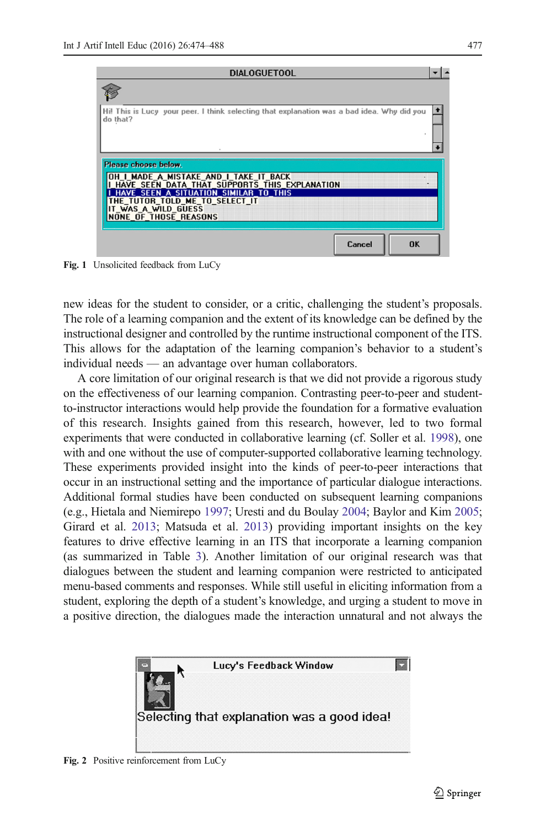<span id="page-3-0"></span>

Fig. 1 Unsolicited feedback from LuCy

new ideas for the student to consider, or a critic, challenging the student's proposals. The role of a learning companion and the extent of its knowledge can be defined by the instructional designer and controlled by the runtime instructional component of the ITS. This allows for the adaptation of the learning companion's behavior to a student's individual needs — an advantage over human collaborators.

A core limitation of our original research is that we did not provide a rigorous study on the effectiveness of our learning companion. Contrasting peer-to-peer and studentto-instructor interactions would help provide the foundation for a formative evaluation of this research. Insights gained from this research, however, led to two formal experiments that were conducted in collaborative learning (cf. Soller et al. [1998\)](#page-14-0), one with and one without the use of computer-supported collaborative learning technology. These experiments provided insight into the kinds of peer-to-peer interactions that occur in an instructional setting and the importance of particular dialogue interactions. Additional formal studies have been conducted on subsequent learning companions (e.g., Hietala and Niemirepo [1997;](#page-13-0) Uresti and du Boulay [2004;](#page-14-0) Baylor and Kim [2005;](#page-13-0) Girard et al. [2013;](#page-13-0) Matsuda et al. [2013](#page-14-0)) providing important insights on the key features to drive effective learning in an ITS that incorporate a learning companion (as summarized in Table [3\)](#page-9-0). Another limitation of our original research was that dialogues between the student and learning companion were restricted to anticipated menu-based comments and responses. While still useful in eliciting information from a student, exploring the depth of a student's knowledge, and urging a student to move in a positive direction, the dialogues made the interaction unnatural and not always the



Fig. 2 Positive reinforcement from LuCy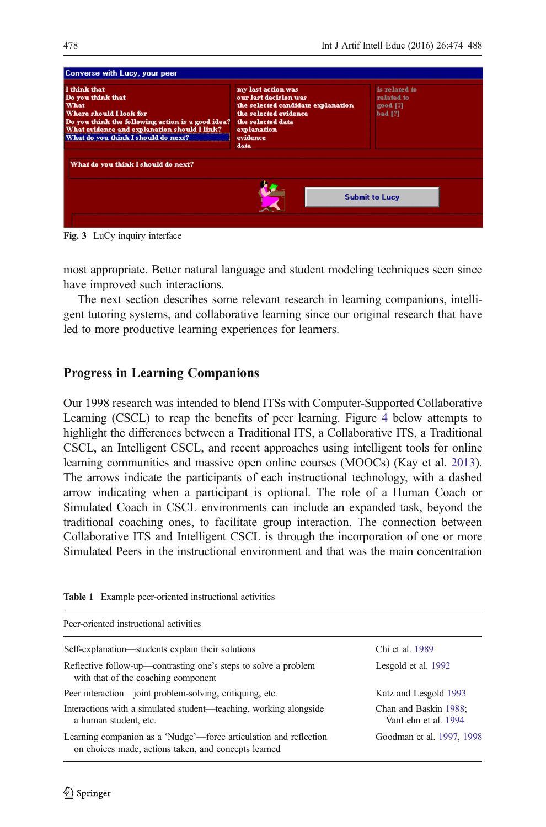<span id="page-4-0"></span>

| Converse with Lucy, your peer<br>I think that<br>Do you think that<br>What<br>Where should I look for<br>Do you think the following action is a good idea?<br>What evidence and explanation should I link?<br>What do you think I should do next? | my last action was<br>our last decision was<br>the selected candidate explanation<br>the selected evidence<br>the selected data<br>explanation<br>evidence<br>data | is related to<br>related to<br>good [?]<br>bad [?] |
|---------------------------------------------------------------------------------------------------------------------------------------------------------------------------------------------------------------------------------------------------|--------------------------------------------------------------------------------------------------------------------------------------------------------------------|----------------------------------------------------|
| What do you think I should do next?                                                                                                                                                                                                               |                                                                                                                                                                    |                                                    |
|                                                                                                                                                                                                                                                   |                                                                                                                                                                    | <b>Submit to Lucy</b>                              |

Fig. 3 LuCy inquiry interface

most appropriate. Better natural language and student modeling techniques seen since have improved such interactions.

The next section describes some relevant research in learning companions, intelligent tutoring systems, and collaborative learning since our original research that have led to more productive learning experiences for learners.

## Progress in Learning Companions

Our 1998 research was intended to blend ITSs with Computer-Supported Collaborative Learning (CSCL) to reap the benefits of peer learning. Figure [4](#page-5-0) below attempts to highlight the differences between a Traditional ITS, a Collaborative ITS, a Traditional CSCL, an Intelligent CSCL, and recent approaches using intelligent tools for online learning communities and massive open online courses (MOOCs) (Kay et al. [2013\)](#page-14-0). The arrows indicate the participants of each instructional technology, with a dashed arrow indicating when a participant is optional. The role of a Human Coach or Simulated Coach in CSCL environments can include an expanded task, beyond the traditional coaching ones, to facilitate group interaction. The connection between Collaborative ITS and Intelligent CSCL is through the incorporation of one or more Simulated Peers in the instructional environment and that was the main concentration

|  |  | <b>Table 1</b> Example peer-oriented instructional activities |  |  |
|--|--|---------------------------------------------------------------|--|--|
|--|--|---------------------------------------------------------------|--|--|

| Peer-oriented instructional activities                                                                                    |                                              |
|---------------------------------------------------------------------------------------------------------------------------|----------------------------------------------|
| Self-explanation—students explain their solutions                                                                         | Chi et al. 1989                              |
| Reflective follow-up—contrasting one's steps to solve a problem<br>with that of the coaching component                    | Lesgold et al. 1992                          |
| Peer interaction—joint problem-solving, critiquing, etc.                                                                  | Katz and Lesgold 1993                        |
| Interactions with a simulated student—teaching, working alongside<br>a human student, etc.                                | Chan and Baskin 1988;<br>VanLehn et al. 1994 |
| Learning companion as a 'Nudge'—force articulation and reflection<br>on choices made, actions taken, and concepts learned | Goodman et al. 1997, 1998                    |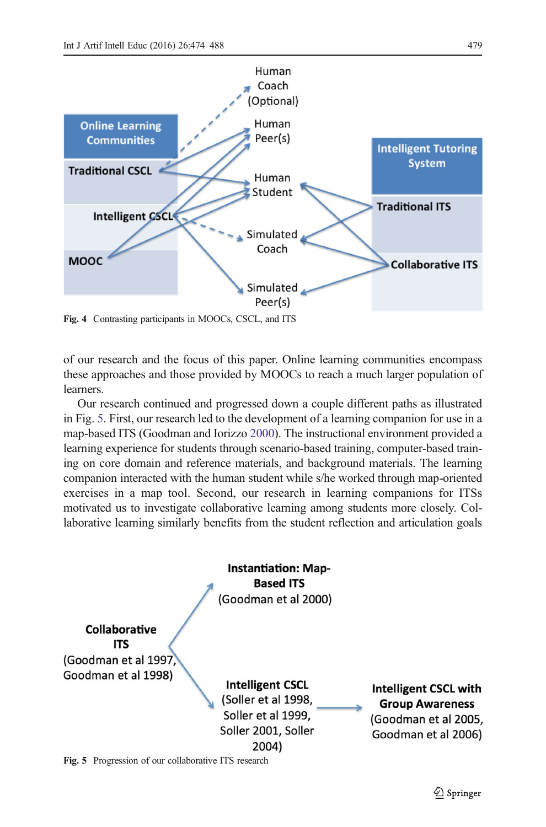<span id="page-5-0"></span>

Fig. 4 Contrasting participants in MOOCs, CSCL, and ITS

of our research and the focus of this paper. Online learning communities encompass these approaches and those provided by MOOCs to reach a much larger population of learners.

Our research continued and progressed down a couple different paths as illustrated in Fig. 5. First, our research led to the development of a learning companion for use in a map-based ITS (Goodman and Iorizzo [2000\)](#page-13-0). The instructional environment provided a learning experience for students through scenario-based training, computer-based training on core domain and reference materials, and background materials. The learning companion interacted with the human student while s/he worked through map-oriented exercises in a map tool. Second, our research in learning companions for ITSs motivated us to investigate collaborative learning among students more closely. Collaborative learning similarly benefits from the student reflection and articulation goals



Fig. 5 Progression of our collaborative ITS research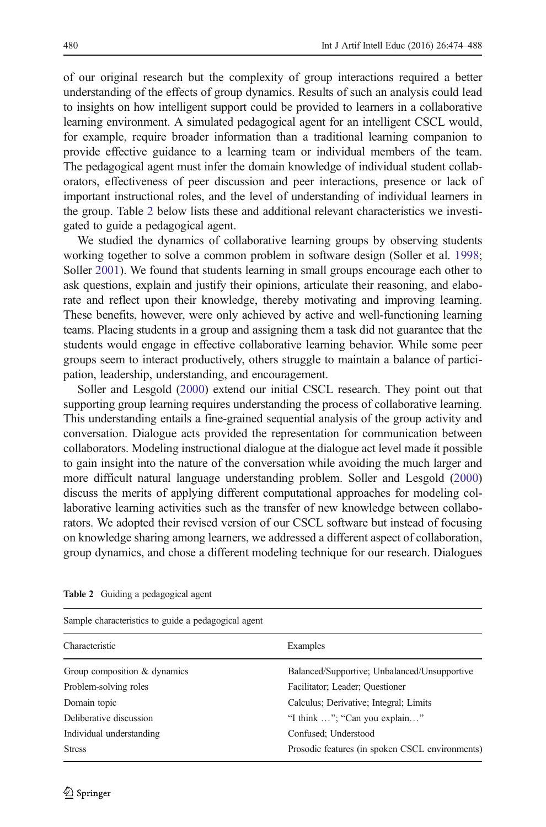of our original research but the complexity of group interactions required a better understanding of the effects of group dynamics. Results of such an analysis could lead to insights on how intelligent support could be provided to learners in a collaborative learning environment. A simulated pedagogical agent for an intelligent CSCL would, for example, require broader information than a traditional learning companion to provide effective guidance to a learning team or individual members of the team. The pedagogical agent must infer the domain knowledge of individual student collaborators, effectiveness of peer discussion and peer interactions, presence or lack of important instructional roles, and the level of understanding of individual learners in the group. Table 2 below lists these and additional relevant characteristics we investigated to guide a pedagogical agent.

We studied the dynamics of collaborative learning groups by observing students working together to solve a common problem in software design (Soller et al. [1998;](#page-14-0) Soller [2001](#page-14-0)). We found that students learning in small groups encourage each other to ask questions, explain and justify their opinions, articulate their reasoning, and elaborate and reflect upon their knowledge, thereby motivating and improving learning. These benefits, however, were only achieved by active and well-functioning learning teams. Placing students in a group and assigning them a task did not guarantee that the students would engage in effective collaborative learning behavior. While some peer groups seem to interact productively, others struggle to maintain a balance of participation, leadership, understanding, and encouragement.

Soller and Lesgold [\(2000\)](#page-14-0) extend our initial CSCL research. They point out that supporting group learning requires understanding the process of collaborative learning. This understanding entails a fine-grained sequential analysis of the group activity and conversation. Dialogue acts provided the representation for communication between collaborators. Modeling instructional dialogue at the dialogue act level made it possible to gain insight into the nature of the conversation while avoiding the much larger and more difficult natural language understanding problem. Soller and Lesgold [\(2000](#page-14-0)) discuss the merits of applying different computational approaches for modeling collaborative learning activities such as the transfer of new knowledge between collaborators. We adopted their revised version of our CSCL software but instead of focusing on knowledge sharing among learners, we addressed a different aspect of collaboration, group dynamics, and chose a different modeling technique for our research. Dialogues

| Sample characteristics to guide a pedagogical agent |                                                 |  |
|-----------------------------------------------------|-------------------------------------------------|--|
| Characteristic                                      | Examples                                        |  |
| Group composition & dynamics                        | Balanced/Supportive; Unbalanced/Unsupportive    |  |
| Problem-solving roles                               | Facilitator; Leader; Ouestioner                 |  |
| Domain topic                                        | Calculus; Derivative; Integral; Limits          |  |
| Deliberative discussion                             | "I think "; "Can you explain"                   |  |
| Individual understanding                            | Confused; Understood                            |  |
| <b>Stress</b>                                       | Prosodic features (in spoken CSCL environments) |  |

Table 2 Guiding a pedagogical agent

Sample characteristics to guide a pedagogical agent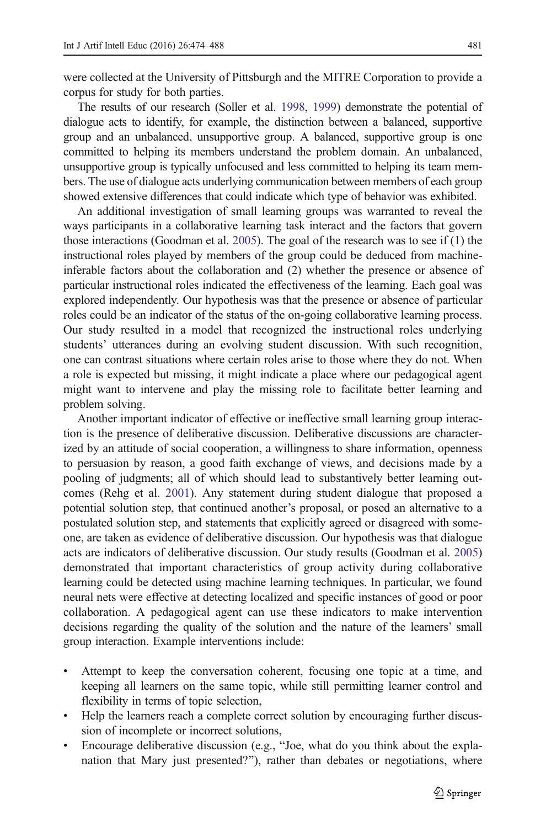were collected at the University of Pittsburgh and the MITRE Corporation to provide a corpus for study for both parties.

The results of our research (Soller et al. [1998](#page-14-0), [1999\)](#page-14-0) demonstrate the potential of dialogue acts to identify, for example, the distinction between a balanced, supportive group and an unbalanced, unsupportive group. A balanced, supportive group is one committed to helping its members understand the problem domain. An unbalanced, unsupportive group is typically unfocused and less committed to helping its team members. The use of dialogue acts underlying communication between members of each group showed extensive differences that could indicate which type of behavior was exhibited.

An additional investigation of small learning groups was warranted to reveal the ways participants in a collaborative learning task interact and the factors that govern those interactions (Goodman et al. [2005\)](#page-13-0). The goal of the research was to see if (1) the instructional roles played by members of the group could be deduced from machineinferable factors about the collaboration and (2) whether the presence or absence of particular instructional roles indicated the effectiveness of the learning. Each goal was explored independently. Our hypothesis was that the presence or absence of particular roles could be an indicator of the status of the on-going collaborative learning process. Our study resulted in a model that recognized the instructional roles underlying students' utterances during an evolving student discussion. With such recognition, one can contrast situations where certain roles arise to those where they do not. When a role is expected but missing, it might indicate a place where our pedagogical agent might want to intervene and play the missing role to facilitate better learning and problem solving.

Another important indicator of effective or ineffective small learning group interaction is the presence of deliberative discussion. Deliberative discussions are characterized by an attitude of social cooperation, a willingness to share information, openness to persuasion by reason, a good faith exchange of views, and decisions made by a pooling of judgments; all of which should lead to substantively better learning outcomes (Rehg et al. [2001\)](#page-14-0). Any statement during student dialogue that proposed a potential solution step, that continued another's proposal, or posed an alternative to a postulated solution step, and statements that explicitly agreed or disagreed with someone, are taken as evidence of deliberative discussion. Our hypothesis was that dialogue acts are indicators of deliberative discussion. Our study results (Goodman et al. [2005](#page-13-0)) demonstrated that important characteristics of group activity during collaborative learning could be detected using machine learning techniques. In particular, we found neural nets were effective at detecting localized and specific instances of good or poor collaboration. A pedagogical agent can use these indicators to make intervention decisions regarding the quality of the solution and the nature of the learners' small group interaction. Example interventions include:

- & Attempt to keep the conversation coherent, focusing one topic at a time, and keeping all learners on the same topic, while still permitting learner control and flexibility in terms of topic selection,
- & Help the learners reach a complete correct solution by encouraging further discussion of incomplete or incorrect solutions,
- Encourage deliberative discussion (e.g., "Joe, what do you think about the explanation that Mary just presented?<sup>\*\*</sup>), rather than debates or negotiations, where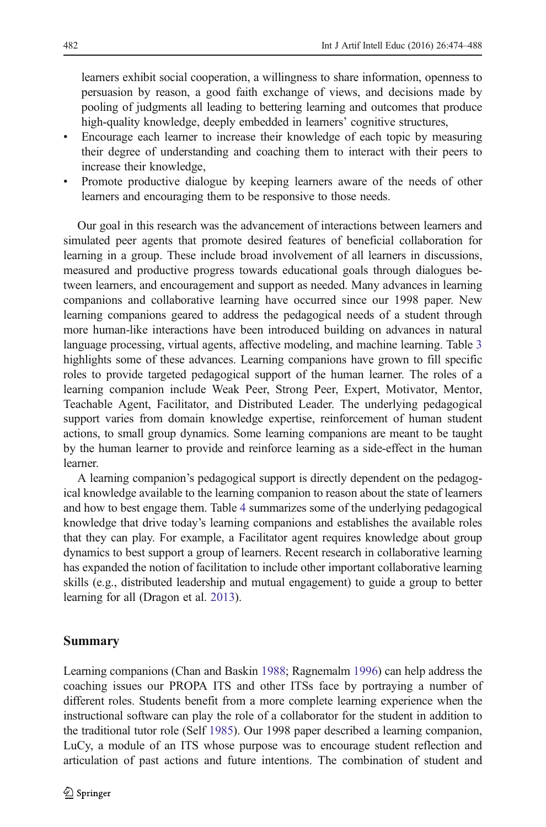learners exhibit social cooperation, a willingness to share information, openness to persuasion by reason, a good faith exchange of views, and decisions made by pooling of judgments all leading to bettering learning and outcomes that produce high-quality knowledge, deeply embedded in learners' cognitive structures,

- Encourage each learner to increase their knowledge of each topic by measuring their degree of understanding and coaching them to interact with their peers to increase their knowledge,
- Promote productive dialogue by keeping learners aware of the needs of other learners and encouraging them to be responsive to those needs.

Our goal in this research was the advancement of interactions between learners and simulated peer agents that promote desired features of beneficial collaboration for learning in a group. These include broad involvement of all learners in discussions, measured and productive progress towards educational goals through dialogues between learners, and encouragement and support as needed. Many advances in learning companions and collaborative learning have occurred since our 1998 paper. New learning companions geared to address the pedagogical needs of a student through more human-like interactions have been introduced building on advances in natural language processing, virtual agents, affective modeling, and machine learning. Table [3](#page-9-0) highlights some of these advances. Learning companions have grown to fill specific roles to provide targeted pedagogical support of the human learner. The roles of a learning companion include Weak Peer, Strong Peer, Expert, Motivator, Mentor, Teachable Agent, Facilitator, and Distributed Leader. The underlying pedagogical support varies from domain knowledge expertise, reinforcement of human student actions, to small group dynamics. Some learning companions are meant to be taught by the human learner to provide and reinforce learning as a side-effect in the human learner.

A learning companion's pedagogical support is directly dependent on the pedagogical knowledge available to the learning companion to reason about the state of learners and how to best engage them. Table [4](#page-11-0) summarizes some of the underlying pedagogical knowledge that drive today's learning companions and establishes the available roles that they can play. For example, a Facilitator agent requires knowledge about group dynamics to best support a group of learners. Recent research in collaborative learning has expanded the notion of facilitation to include other important collaborative learning skills (e.g., distributed leadership and mutual engagement) to guide a group to better learning for all (Dragon et al. [2013](#page-13-0)).

#### Summary

Learning companions (Chan and Baskin [1988;](#page-13-0) Ragnemalm [1996](#page-14-0)) can help address the coaching issues our PROPA ITS and other ITSs face by portraying a number of different roles. Students benefit from a more complete learning experience when the instructional software can play the role of a collaborator for the student in addition to the traditional tutor role (Self [1985\)](#page-14-0). Our 1998 paper described a learning companion, LuCy, a module of an ITS whose purpose was to encourage student reflection and articulation of past actions and future intentions. The combination of student and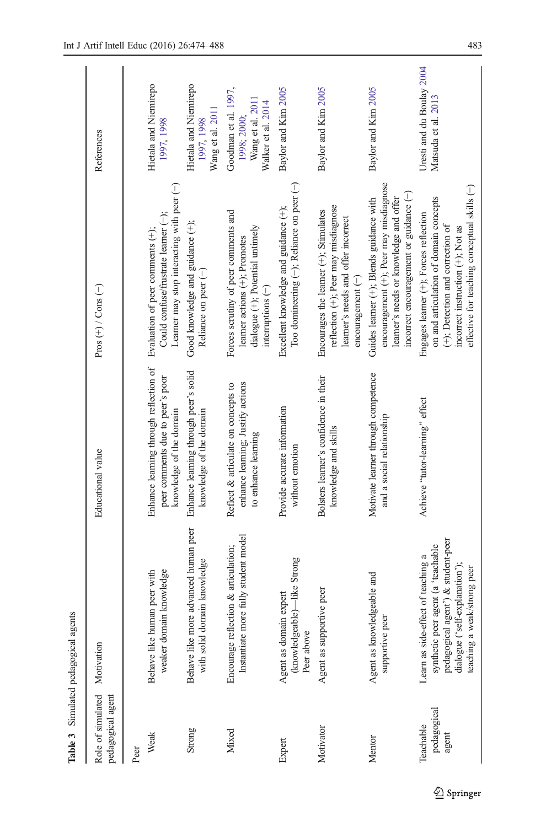<span id="page-9-0"></span>

| Table 3 Simulated pedagogical agents   |                                                                                                                                                                                    |                                                                                                       |                                                                                                                                                                                                                 |                                                                               |
|----------------------------------------|------------------------------------------------------------------------------------------------------------------------------------------------------------------------------------|-------------------------------------------------------------------------------------------------------|-----------------------------------------------------------------------------------------------------------------------------------------------------------------------------------------------------------------|-------------------------------------------------------------------------------|
| Role of simulated<br>pedagogical agent | Motivation                                                                                                                                                                         | Educational value                                                                                     | Pros $(+)$ / Cons $(-)$                                                                                                                                                                                         | References                                                                    |
| Peer                                   |                                                                                                                                                                                    |                                                                                                       |                                                                                                                                                                                                                 |                                                                               |
| Weak                                   | weaker domain knowledge<br>Behave like human peer with                                                                                                                             | Enhance learning through reflection of<br>peer comments due to peer's poor<br>knowledge of the domain | Learner may stop interacting with peer (-)<br>Could confuse/frustrate learner (-);<br>Evaluation of peer comments $(+)$ ;                                                                                       | Hietala and Niemirepo<br>1997, 1998                                           |
| Strong                                 | advanced human peer<br>with solid domain knowledge<br>Behave like more                                                                                                             | Enhance learning through peer's solid<br>knowledge of the domain                                      | Good knowledge and guidance (+);<br>Reliance on peer (-)                                                                                                                                                        | Hietala and Niemirepo<br>Wang et al. 2011<br>1997, 1998                       |
| Mixed                                  | Instantiate more fully student model<br>Encourage reflection & articulation;                                                                                                       | enhance learning; Justify actions<br>Reflect & articulate on concepts to<br>to enhance learning       | Forces scrutiny of peer comments and<br>dialogue (+); Potential untimely<br>learner actions (+); Promotes<br>interruptions $(-)$                                                                                | Goodman et al. 1997,<br>Wang et al. 2011<br>Walker et al. 2014<br>1998; 2000; |
| Expert                                 | (knowledgeable)—like Strong<br>Agent as domain expert<br>Peer above                                                                                                                | Provide accurate information<br>without emotion                                                       | Too domineering $(-)$ ; Reliance on peer $(-)$<br>Excellent knowledge and guidance (+);                                                                                                                         | Baylor and Kim 2005                                                           |
| Motivator                              | Agent as supportive peer                                                                                                                                                           | Bolsters learner's confidence in their<br>knowledge and skills                                        | reflection $(+)$ ; Peer may misdiagnose<br>Encourages the learner (+); Stimulates<br>learner's needs and offer incorrect<br>$encouragement$ $(-)$                                                               | Baylor and Kim 2005                                                           |
| Mentor                                 | Agent as knowledgeable and<br>supportive peer                                                                                                                                      | Motivate learner through competence<br>and a social relationship                                      | encouragement $(+)$ ; Peer may misdiagnose<br>incorrect encouragement or guidance (-)<br>learner's needs or knowledge and offer<br>Guides learner $(+)$ ; Blends guidance with                                  | Baylor and Kim 2005                                                           |
| pedagogical<br>Teachable<br>agent      | pedagogical agent') & student-peer<br>synthetic peer agent (a 'teachable<br>Learn as side-effect of teaching a<br>dialogue ('self-explanation');<br>strong peer<br>teaching a weak | Achieve "tutor-learning" effect                                                                       | effective for teaching conceptual skills (-)<br>on and articulation of domain concepts<br>Engages learner (+); Forces reflection<br>$(+)$ ; Detection and correction of<br>incorrect instruction $(+)$ ; Not as | Uresti and du Boulay 2004<br>Matsuda et al. 2013                              |

 $\underline{\textcircled{\tiny 2}}$  Springer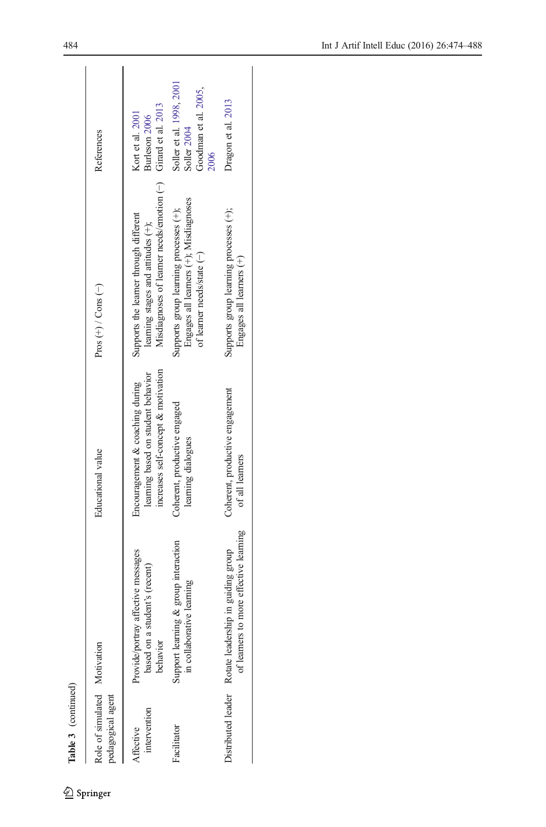| Role of simulated Motivation<br>pedagogical agent |                                                                                                 | Educational value                                                                                            | Pros $(+)$ / Cons $(-)$                                                                                                                           | References                                                              |
|---------------------------------------------------|-------------------------------------------------------------------------------------------------|--------------------------------------------------------------------------------------------------------------|---------------------------------------------------------------------------------------------------------------------------------------------------|-------------------------------------------------------------------------|
| intervention<br>Affective                         | Provide/portray affective messages<br>based on a student's (recent)<br>behavior                 | increases self-concept & motivation<br>learning based on student behavior<br>Encouragement & coaching during | Misdiagnoses of learner needs/emotion $(-)$ Girard et al. 2013<br>Supports the learner through different<br>learning stages and attitudes $(+)$ ; | Kort et al. 2001<br>Burleson 2006                                       |
| Facilitator                                       | Support learning & group interaction<br>in collaborative learning                               | Coherent, productive engaged<br>learning dialogues                                                           | Engages all learners (+); Misdiagnoses<br>Supports group learning processes (+);<br>of learner needs/state (-)                                    | Soller et al. 1998, 2001<br>Goodman et al. 2005,<br>Soller 2004<br>2006 |
|                                                   | of learners to more effective learning<br>Distributed leader Rotate leadership in guiding group | Coherent, productive engagement<br>of all learners                                                           | Supports group learning processes (+);<br>Engages all learners (+)                                                                                | Dragon et al. 2013                                                      |
|                                                   |                                                                                                 |                                                                                                              |                                                                                                                                                   |                                                                         |

Table 3 (continued)

Table 3 (continued)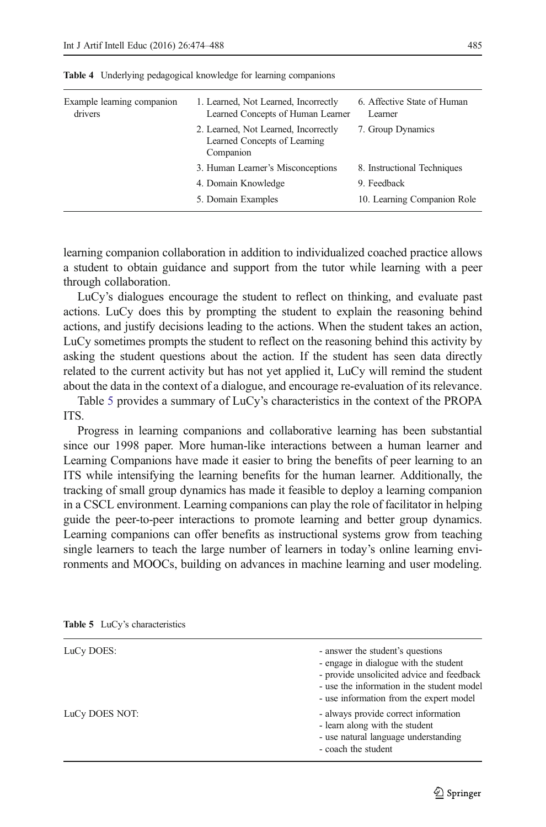| Example learning companion<br>drivers | 1. Learned, Not Learned, Incorrectly<br>Learned Concepts of Human Learner         | 6. Affective State of Human<br>Learner |
|---------------------------------------|-----------------------------------------------------------------------------------|----------------------------------------|
|                                       | 2. Learned, Not Learned, Incorrectly<br>Learned Concepts of Learning<br>Companion | 7. Group Dynamics                      |
|                                       | 3. Human Learner's Misconceptions                                                 | 8. Instructional Techniques            |
|                                       | 4. Domain Knowledge                                                               | 9. Feedback                            |
|                                       | 5. Domain Examples                                                                | 10. Learning Companion Role            |

<span id="page-11-0"></span>Table 4 Underlying pedagogical knowledge for learning companions

learning companion collaboration in addition to individualized coached practice allows a student to obtain guidance and support from the tutor while learning with a peer through collaboration.

LuCy's dialogues encourage the student to reflect on thinking, and evaluate past actions. LuCy does this by prompting the student to explain the reasoning behind actions, and justify decisions leading to the actions. When the student takes an action, LuCy sometimes prompts the student to reflect on the reasoning behind this activity by asking the student questions about the action. If the student has seen data directly related to the current activity but has not yet applied it, LuCy will remind the student about the data in the context of a dialogue, and encourage re-evaluation of its relevance.

Table 5 provides a summary of LuCy's characteristics in the context of the PROPA ITS.

Progress in learning companions and collaborative learning has been substantial since our 1998 paper. More human-like interactions between a human learner and Learning Companions have made it easier to bring the benefits of peer learning to an ITS while intensifying the learning benefits for the human learner. Additionally, the tracking of small group dynamics has made it feasible to deploy a learning companion in a CSCL environment. Learning companions can play the role of facilitator in helping guide the peer-to-peer interactions to promote learning and better group dynamics. Learning companions can offer benefits as instructional systems grow from teaching single learners to teach the large number of learners in today's online learning environments and MOOCs, building on advances in machine learning and user modeling.

| LuCy DOES:     | - answer the student's questions<br>- engage in dialogue with the student<br>- provide unsolicited advice and feedback<br>- use the information in the student model<br>- use information from the expert model |
|----------------|-----------------------------------------------------------------------------------------------------------------------------------------------------------------------------------------------------------------|
| LuCy DOES NOT: | - always provide correct information<br>- learn along with the student<br>- use natural language understanding<br>- coach the student                                                                           |

Table 5 LuCy's characteristics

 $\textcircled{2}$  Springer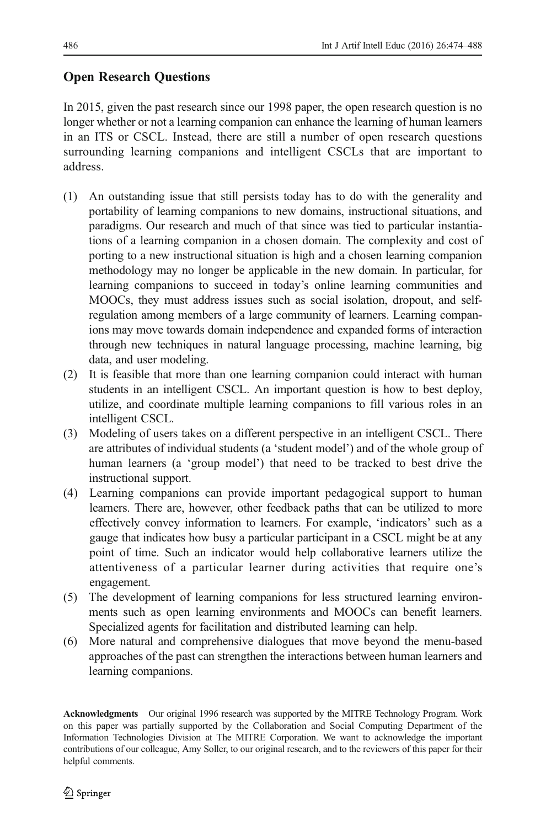## Open Research Questions

In 2015, given the past research since our 1998 paper, the open research question is no longer whether or not a learning companion can enhance the learning of human learners in an ITS or CSCL. Instead, there are still a number of open research questions surrounding learning companions and intelligent CSCLs that are important to address.

- (1) An outstanding issue that still persists today has to do with the generality and portability of learning companions to new domains, instructional situations, and paradigms. Our research and much of that since was tied to particular instantiations of a learning companion in a chosen domain. The complexity and cost of porting to a new instructional situation is high and a chosen learning companion methodology may no longer be applicable in the new domain. In particular, for learning companions to succeed in today's online learning communities and MOOCs, they must address issues such as social isolation, dropout, and selfregulation among members of a large community of learners. Learning companions may move towards domain independence and expanded forms of interaction through new techniques in natural language processing, machine learning, big data, and user modeling.
- (2) It is feasible that more than one learning companion could interact with human students in an intelligent CSCL. An important question is how to best deploy, utilize, and coordinate multiple learning companions to fill various roles in an intelligent CSCL.
- (3) Modeling of users takes on a different perspective in an intelligent CSCL. There are attributes of individual students (a 'student model') and of the whole group of human learners (a 'group model') that need to be tracked to best drive the instructional support.
- (4) Learning companions can provide important pedagogical support to human learners. There are, however, other feedback paths that can be utilized to more effectively convey information to learners. For example, 'indicators' such as a gauge that indicates how busy a particular participant in a CSCL might be at any point of time. Such an indicator would help collaborative learners utilize the attentiveness of a particular learner during activities that require one's engagement.
- (5) The development of learning companions for less structured learning environments such as open learning environments and MOOCs can benefit learners. Specialized agents for facilitation and distributed learning can help.
- (6) More natural and comprehensive dialogues that move beyond the menu-based approaches of the past can strengthen the interactions between human learners and learning companions.

Acknowledgments Our original 1996 research was supported by the MITRE Technology Program. Work on this paper was partially supported by the Collaboration and Social Computing Department of the Information Technologies Division at The MITRE Corporation. We want to acknowledge the important contributions of our colleague, Amy Soller, to our original research, and to the reviewers of this paper for their helpful comments.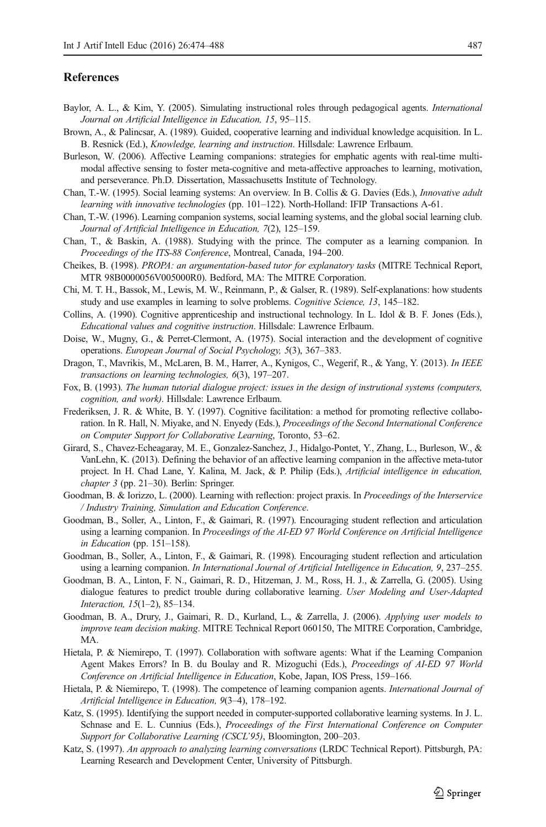#### <span id="page-13-0"></span>References

- Baylor, A. L., & Kim, Y. (2005). Simulating instructional roles through pedagogical agents. International Journal on Artificial Intelligence in Education, 15, 95–115.
- Brown, A., & Palincsar, A. (1989). Guided, cooperative learning and individual knowledge acquisition. In L. B. Resnick (Ed.), Knowledge, learning and instruction. Hillsdale: Lawrence Erlbaum.
- Burleson, W. (2006). Affective Learning companions: strategies for emphatic agents with real-time multimodal affective sensing to foster meta-cognitive and meta-affective approaches to learning, motivation, and perseverance. Ph.D. Dissertation, Massachusetts Institute of Technology.
- Chan, T.-W. (1995). Social learning systems: An overview. In B. Collis & G. Davies (Eds.), Innovative adult learning with innovative technologies (pp. 101–122). North-Holland: IFIP Transactions A-61.
- Chan, T.-W. (1996). Learning companion systems, social learning systems, and the global social learning club. Journal of Artificial Intelligence in Education, 7(2), 125–159.
- Chan, T., & Baskin, A. (1988). Studying with the prince. The computer as a learning companion. In Proceedings of the ITS-88 Conference, Montreal, Canada, 194–200.
- Cheikes, B. (1998). PROPA: an argumentation-based tutor for explanatory tasks (MITRE Technical Report, MTR 98B0000056V005000R0). Bedford, MA: The MITRE Corporation.
- Chi, M. T. H., Bassok, M., Lewis, M. W., Reinmann, P., & Galser, R. (1989). Self-explanations: how students study and use examples in learning to solve problems. Cognitive Science, 13, 145–182.
- Collins, A. (1990). Cognitive apprenticeship and instructional technology. In L. Idol & B. F. Jones (Eds.), Educational values and cognitive instruction. Hillsdale: Lawrence Erlbaum.
- Doise, W., Mugny, G., & Perret-Clermont, A. (1975). Social interaction and the development of cognitive operations. European Journal of Social Psychology, 5(3), 367–383.
- Dragon, T., Mavrikis, M., McLaren, B. M., Harrer, A., Kynigos, C., Wegerif, R., & Yang, Y. (2013). In IEEE transactions on learning technologies, 6(3), 197–207.
- Fox, B. (1993). The human tutorial dialogue project: issues in the design of instrutional systems (computers, cognition, and work). Hillsdale: Lawrence Erlbaum.
- Frederiksen, J. R. & White, B. Y. (1997). Cognitive facilitation: a method for promoting reflective collaboration. In R. Hall, N. Miyake, and N. Enyedy (Eds.), Proceedings of the Second International Conference on Computer Support for Collaborative Learning, Toronto, 53–62.
- Girard, S., Chavez-Echeagaray, M. E., Gonzalez-Sanchez, J., Hidalgo-Pontet, Y., Zhang, L., Burleson, W., & VanLehn, K. (2013). Defining the behavior of an affective learning companion in the affective meta-tutor project. In H. Chad Lane, Y. Kalina, M. Jack, & P. Philip (Eds.), Artificial intelligence in education, chapter 3 (pp. 21–30). Berlin: Springer.
- Goodman, B. & Iorizzo, L. (2000). Learning with reflection: project praxis. In Proceedings of the Interservice / Industry Training, Simulation and Education Conference.
- Goodman, B., Soller, A., Linton, F., & Gaimari, R. (1997). Encouraging student reflection and articulation using a learning companion. In Proceedings of the AI-ED 97 World Conference on Artificial Intelligence in Education (pp. 151–158).
- Goodman, B., Soller, A., Linton, F., & Gaimari, R. (1998). Encouraging student reflection and articulation using a learning companion. In International Journal of Artificial Intelligence in Education, 9, 237–255.
- Goodman, B. A., Linton, F. N., Gaimari, R. D., Hitzeman, J. M., Ross, H. J., & Zarrella, G. (2005). Using dialogue features to predict trouble during collaborative learning. User Modeling and User-Adapted Interaction, 15(1–2), 85–134.
- Goodman, B. A., Drury, J., Gaimari, R. D., Kurland, L., & Zarrella, J. (2006). Applying user models to improve team decision making. MITRE Technical Report 060150, The MITRE Corporation, Cambridge, MA.
- Hietala, P. & Niemirepo, T. (1997). Collaboration with software agents: What if the Learning Companion Agent Makes Errors? In B. du Boulay and R. Mizoguchi (Eds.), Proceedings of AI-ED 97 World Conference on Artificial Intelligence in Education, Kobe, Japan, IOS Press, 159–166.
- Hietala, P. & Niemirepo, T. (1998). The competence of learning companion agents. International Journal of Artificial Intelligence in Education, 9(3–4), 178–192.
- Katz, S. (1995). Identifying the support needed in computer-supported collaborative learning systems. In J. L. Schnase and E. L. Cunnius (Eds.), *Proceedings of the First International Conference on Computer* Support for Collaborative Learning (CSCL'95), Bloomington, 200–203.
- Katz, S. (1997). An approach to analyzing learning conversations (LRDC Technical Report). Pittsburgh, PA: Learning Research and Development Center, University of Pittsburgh.